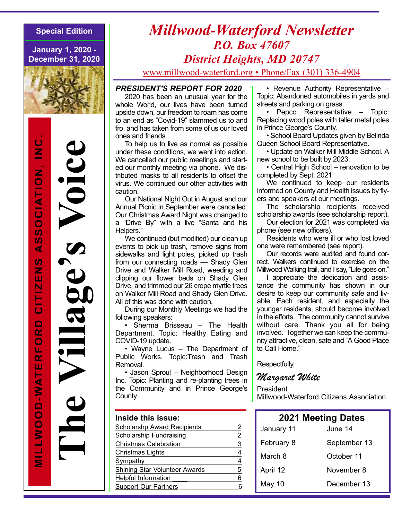**January 1, 2020 - December 31, 2020**



**e**

**a**

**g**

**e**

**s**

**c**

**e**

# *Millwood-Waterford Newsletter P.O. Box 47607 District Heights, MD 20747*

www.millwood-waterford.org • Phone/Fax (301) 336-4904

#### *PRESIDENT'S REPORT FOR 2020*

2020 has been an unusual year for the whole World, our lives have been turned upside down, our freedom to roam has come to an end as "Covid-19" slammed us to and fro, and has taken from some of us our loved ones and friends.

To help us to live as normal as possible under these conditions, we went into action. We cancelled our public meetings and started our monthly meeting via phone. We distributed masks to all residents to offset the virus. We continued our other activities with caution.

Our National Night Out in August and our Annual Picnic in September were cancelled. Our Christmas Award Night was changed to a "Drive By" with a live "Santa and his Helpers."

We continued (but modified) our clean up events to pick up trash, remove signs from sidewalks and light poles, picked up trash from our connecting roads — Shady Glen Drive and Walker Mill Road, weeding and clipping our flower beds on Shady Glen Drive, and trimmed our 26 crepe myrtle trees on Walker Mill Road and Shady Glen Drive. All of this was done with caution.

During our Monthly Meetings we had the following speakers:

• Sherma Brisseau – The Health Department. Topic: Healthy Eating and COVID-19 update.

• Wayne Lucus – The Department of Public Works. Topic:Trash and Trash Removal.

• Jason Sproul – Neighborhood Design Inc. Topic: Planting and re-planting trees in the Community and in Prince George's County.

#### **Inside this issue:**

| <b>Scholarshp Award Recipients</b> |   |
|------------------------------------|---|
| Scholarship Fundraising            | 2 |
| <b>Christmas Celebration</b>       | 3 |
| Christmas Lights                   | 4 |
| Sympathy                           | 4 |
| Shining Star Volunteer Awards      | 5 |
| <b>Helpful Information</b>         | 6 |
| <b>Support Our Partners</b>        | ค |
|                                    |   |

• Revenue Authority Representative – Topic: Abandoned automobiles in yards and streets and parking on grass.

• Pepco Representative – Topic: Replacing wood poles with taller metal poles in Prince George's County.

• School Board Updates given by Belinda Queen School Board Representative.

• Update on Walker Mill Middle School. A new school to be built by 2023.

• Central High School – renovation to be completed by Sept. 2021

We continued to keep our residents informed on County and Health issues by flyers and speakers at our meetings.

The scholarship recipients received scholarship awards (see scholarship report).

Our election for 2021 was completed via phone (see new officers).

Residents who were ill or who lost loved one were remembered (see report).

Our records were audited and found correct. Walkers continued to exercise on the Millwood Walking trail, and I say, "Life goes on."

I appreciate the dedication and assistance the community has shown in our desire to keep our community safe and livable. Each resident, and especially the younger residents, should become involved in the efforts. The community cannot survive without care. Thank you all for being involved. Together we can keep the community attractive, clean, safe and "A Good Place to Call Home."

Respectfully,

### Margaret White

President

Millwood-Waterford Citizens Association

| <b>2021 Meeting Dates</b> |              |  |
|---------------------------|--------------|--|
| January 11                | June 14      |  |
| February 8                | September 13 |  |
| March 8                   | October 11   |  |
| April 12                  | November 8   |  |
| May 10                    | December 13  |  |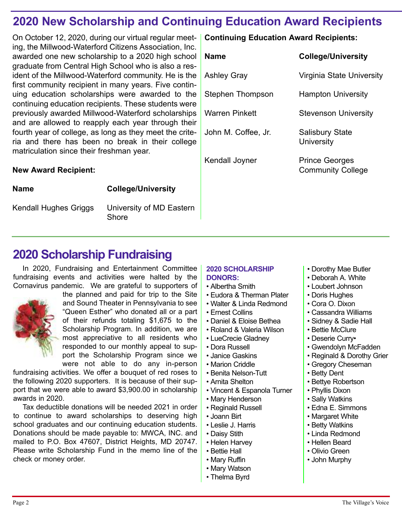# **2020 New Scholarship and Continuing Education Award Recipients**

On October 12, 2020, during our virtual regular meeting, the Millwood-Waterford Citizens Association, Inc. awarded one new scholarship to a 2020 high school graduate from Central High School who is also a resident of the Millwood-Waterford community. He is the first community recipient in many years. Five continuing education scholarships were awarded to the continuing education recipients. These students were previously awarded Millwood-Waterford scholarships and are allowed to reapply each year through their fourth year of college, as long as they meet the criteria and there has been no break in their college matriculation since their freshman year.

### **New Award Recipient:**

**Name College/University**

Kendall Hughes Griggs University of MD Eastern Shore

### **Continuing Education Award Recipients:**

| Name                | <b>College/University</b>                         |
|---------------------|---------------------------------------------------|
| Ashley Gray         | Virginia State University                         |
| Stephen Thompson    | <b>Hampton University</b>                         |
| Warren Pinkett      | <b>Stevenson University</b>                       |
| John M. Coffee, Jr. | <b>Salisbury State</b><br>University              |
| Kendall Joyner      | <b>Prince Georges</b><br><b>Community College</b> |

# **2020 Scholarship Fundraising**

In 2020, Fundraising and Entertainment Committee fundraising events and activities were halted by the Cornavirus pandemic. We are grateful to supporters of



the planned and paid for trip to the Site and Sound Theater in Pennsylvania to see "Queen Esther" who donated all or a part of their refunds totaling \$1,675 to the Scholarship Program. In addition, we are most appreciative to all residents who responded to our monthly appeal to support the Scholarship Program since we were not able to do any in-person

fundraising activities. We offer a bouquet of red roses to the following 2020 supporters. It is because of their support that we were able to award \$3,900.00 in scholarship awards in 2020.

Tax deductible donations will be needed 2021 in order to continue to award scholarships to deserving high school graduates and our continuing education students. Donations should be made payable to: MWCA, INC. and mailed to P.O. Box 47607, District Heights, MD 20747. Please write Scholarship Fund in the memo line of the check or money order.

#### **2020 SCHOLARSHIP DONORS:**

- Albertha Smith
- Eudora & Therman Plater
- Walter & Linda Redmond
- Ernest Collins
- Daniel & Eloise Bethea
- Roland & Valeria Wilson
- LueCrecie Gladney
- Dora Russell
- Janice Gaskins
- Marion Criddle
- Benita Nelson-Tutt
- Arnita Shelton
- Vincent & Espanola Turner
- Mary Henderson
- Reginald Russell
- Joann Birt
- Leslie J. Harris
- Daisy Stith
- Helen Harvey
- Bettie Hall
- Mary Ruffin
- Mary Watson
- Thelma Byrd
- Dorothy Mae Butler
- Deborah A. White
- Loubert Johnson
- Doris Hughes
- Cora O. Dixon
- Cassandra Williams
- Sidney & Sadie Hall
- Bettie McClure
- Deserie Curry•
- Gwendolyn McFadden
- Reginald & Dorothy Grier
- Gregory Cheseman
- Betty Dent
- Bettye Robertson
- Phyllis Dixon
- Sally Watkins
- Edna E. Simmons
- Margaret White
- Betty Watkins
- Linda Redmond
- Hellen Beard
- Olivio Green
- John Murphy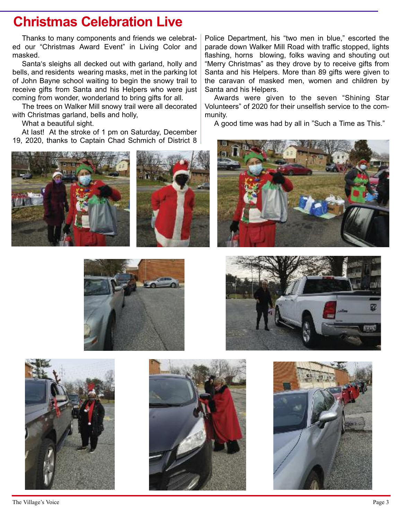# **Christmas Celebration Live**

Thanks to many components and friends we celebrated our "Christmas Award Event" in Living Color and masked.

Santa's sleighs all decked out with garland, holly and bells, and residents wearing masks, met in the parking lot of John Bayne school waiting to begin the snowy trail to receive gifts from Santa and his Helpers who were just coming from wonder, wonderland to bring gifts for all.

The trees on Walker Mill snowy trail were all decorated with Christmas garland, bells and holly,

What a beautiful sight.

At last! At the stroke of 1 pm on Saturday, December 19, 2020, thanks to Captain Chad Schmich of District 8





Police Department, his "two men in blue," escorted the parade down Walker Mill Road with traffic stopped, lights flashing, horns blowing, folks waving and shouting out "Merry Christmas" as they drove by to receive gifts from Santa and his Helpers. More than 89 gifts were given to the caravan of masked men, women and children by Santa and his Helpers.

Awards were given to the seven "Shining Star Volunteers" of 2020 for their unselfish service to the community.

A good time was had by all in "Such a Time as This."











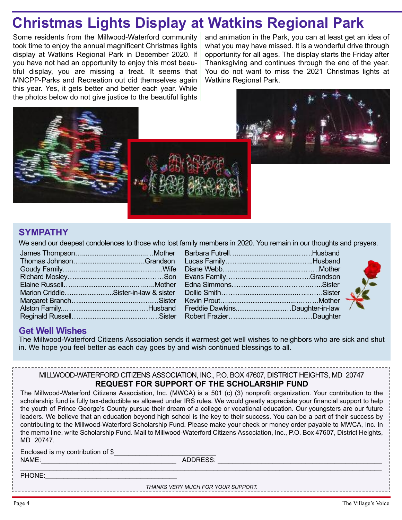# **Christmas Lights Display at Watkins Regional Park**

Some residents from the Millwood-Waterford community took time to enjoy the annual magnificent Christmas lights display at Watkins Regional Park in December 2020. If you have not had an opportunity to enjoy this most beautiful display, you are missing a treat. It seems that MNCPP-Parks and Recreation out did themselves again this year. Yes, it gets better and better each year. While the photos below do not give justice to the beautiful lights

and animation in the Park, you can at least get an idea of what you may have missed. It is a wonderful drive through opportunity for all ages. The display starts the Friday after Thanksgiving and continues through the end of the year. You do not want to miss the 2021 Christmas lights at Watkins Regional Park.







### **SYMPATHY**

We send our deepest condolences to those who lost family members in 2020. You remain in our thoughts and prayers.

| Marion CriddleSister-in-law & sister |  |
|--------------------------------------|--|
|                                      |  |
|                                      |  |
|                                      |  |
|                                      |  |

| Freddie DawkinsDaughter-in-law |  |
|--------------------------------|--|
|                                |  |
|                                |  |



### **Get Well Wishes**

The Millwood-Waterford Citizens Association sends it warmest get well wishes to neighbors who are sick and shut in. We hope you feel better as each day goes by and wish continued blessings to all.

### MILLWOOD-WATERFORD CITIZENS ASSOCIATION, INC., P.O. BOX 47607, DISTRICT HEIGHTS, MD 20747

### **REQUEST FOR SUPPORT OF THE SCHOLARSHIP FUND**

The Millwood-Waterford Citizens Association, Inc. (MWCA) is a 501 (c) (3) nonprofit organization. Your contribution to the scholarship fund is fully tax-deductible as allowed under IRS rules. We would greatly appreciate your financial support to help the youth of Prince George's County pursue their dream of a college or vocational education. Our youngsters are our future leaders. We believe that an education beyond high school is the key to their success. You can be a part of their success by contributing to the Millwood-Waterford Scholarship Fund. Please make your check or money order payable to MWCA, Inc. In the memo line, write Scholarship Fund. Mail to Millwood-Waterford Citizens Association, Inc., P.O. Box 47607, District Heights, MD 20747.

Enclosed is my contribution of \$\_\_\_\_\_\_\_\_\_\_\_\_\_\_\_\_\_\_\_\_\_\_\_\_\_\_\_\_ NAME:\_\_\_\_\_\_\_\_\_\_\_\_\_\_\_\_\_\_\_\_\_\_\_\_\_\_\_\_\_\_\_\_\_\_\_\_\_ ADDRESS: \_\_\_\_\_\_\_\_\_\_\_\_\_\_\_\_\_\_\_\_\_\_\_\_\_\_\_\_\_\_\_\_\_\_\_\_\_\_\_\_\_\_\_\_\_

 $\_$  , and the set of the set of the set of the set of the set of the set of the set of the set of the set of the set of the set of the set of the set of the set of the set of the set of the set of the set of the set of th

PHONE:

*THANKS VERY MUCH FOR YOUR SUPPORT.*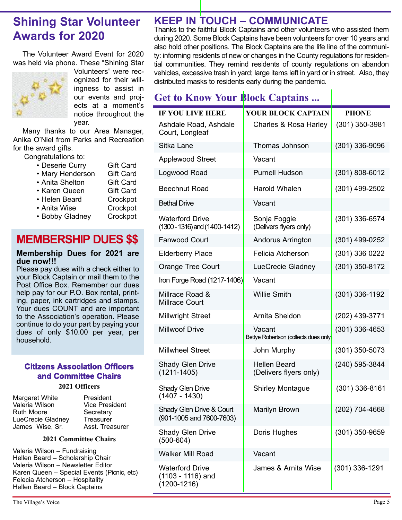# **Shining Star Volunteer Awards for 2020**

The Volunteer Award Event for 2020 was held via phone. These "Shining Star



Volunteers" were recognized for their willingness to assist in our events and projects at a moment's notice throughout the year.

Many thanks to our Area Manager, Anika O'Niel from Parks and Recreation for the award gifts.

Congratulations to:

| • Deserie Curry  | <b>Gift Card</b> |
|------------------|------------------|
| • Mary Henderson | <b>Gift Card</b> |
| • Anita Shelton  | <b>Gift Card</b> |
| • Karen Queen    | <b>Gift Card</b> |
| • Helen Beard    | Crockpot         |

- 
- Anita Wise Crockpot
- Bobby Gladney Crockpot

# **MEMBERSHIP DUES \$\$**

#### **Membership Dues for 2021 are due now!!!**

Please pay dues with a check either to your Block Captain or mail them to the Post Office Box. Remember our dues help pay for our P.O. Box rental, printing, paper, ink cartridges and stamps. Your dues COUNT and are important to the Association's operation. Please continue to do your part by paying your dues of only \$10.00 per year, per household.

### **Citizens Association Officers and Committee Chairs**

#### **2021 Officers**

| Margaret White    | President             |
|-------------------|-----------------------|
| Valeria Wilson    | <b>Vice President</b> |
| Ruth Moore        | Secretary             |
| LueCrecie Gladney | <b>Treasurer</b>      |
| James Wise, Sr.   | Asst. Treasurer       |

#### **2021 Committee Chairs**

Valeria Wilson – Fundraising Hellen Beard – Scholarship Chair Valeria Wilson – Newsletter Editor Karen Queen – Special Events (Picnic, etc) Felecia Atcherson – Hospitality Hellen Beard – Block Captains

## **KEEP IN TOUCH – COMMUNICATE**

Thanks to the faithful Block Captains and other volunteers who assisted them during 2020. Some Block Captains have been volunteers for over 10 years and also hold other positions. The Block Captains are the life line of the community: informing residents of new or changes in the County regulations for residential communities. They remind residents of county regulations on abandon vehicles, excessive trash in yard; large items left in yard or in street. Also, they distributed masks to residents early during the pandemic.

# **Get to Know Your Block Captains ...**

| <b>IF YOU LIVE HERE</b>                                        | YOUR BLOCK CAPTAIN                              | <b>PHONE</b>     |
|----------------------------------------------------------------|-------------------------------------------------|------------------|
| Ashdale Road, Ashdale<br>Court, Longleaf                       | Charles & Rosa Harley                           | $(301)$ 350-3981 |
| Sitka Lane                                                     | Thomas Johnson                                  | (301) 336-9096   |
| <b>Applewood Street</b>                                        | Vacant                                          |                  |
| Logwood Road                                                   | <b>Purnell Hudson</b>                           | (301) 808-6012   |
| <b>Beechnut Road</b>                                           | Harold Whalen                                   | (301) 499-2502   |
| <b>Bethal Drive</b>                                            | Vacant                                          |                  |
| <b>Waterford Drive</b><br>$(1300 - 1316)$ and $(1400 - 1412)$  | Sonja Foggie<br>(Delivers flyers only)          | (301) 336-6574   |
| <b>Fanwood Court</b>                                           | Andorus Arrington                               | (301) 499-0252   |
| <b>Elderberry Place</b>                                        | Felicia Atcherson                               | (301) 336 0222   |
| Orange Tree Court                                              | LueCrecie Gladney                               | (301) 350-8172   |
| Iron Forge Road (1217-1406)                                    | Vacant                                          |                  |
| Millrace Road &<br><b>Millrace Court</b>                       | <b>Willie Smith</b>                             | (301) 336-1192   |
| <b>Millwright Street</b>                                       | Arnita Sheldon                                  | (202) 439-3771   |
| <b>Millwoof Drive</b>                                          | Vacant<br>Bettye Robertson (collects dues only) | $(301)$ 336-4653 |
| <b>Millwheel Street</b>                                        | John Murphy                                     | (301) 350-5073   |
| <b>Shady Glen Drive</b><br>$(1211 - 1405)$                     | <b>Hellen Beard</b><br>(Delivers flyers only)   | (240) 595-3844   |
| Shady Glen Drive<br>$(1407 - 1430)$                            | <b>Shirley Montague</b>                         | (301) 336-8161   |
| Shady Glen Drive & Court<br>(901-1005 and 7600-7603)           | Marilyn Brown                                   | (202) 704-4668   |
| Shady Glen Drive<br>$(500 - 604)$                              | Doris Hughes                                    | (301) 350-9659   |
| <b>Walker Mill Road</b>                                        | Vacant                                          |                  |
| <b>Waterford Drive</b><br>(1103 - 1116) and<br>$(1200 - 1216)$ | James & Arnita Wise                             | (301) 336-1291   |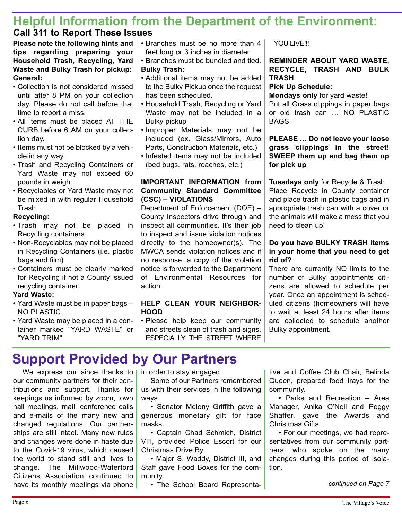## **Helpful Information from the Department of the Environment: Call 311 to Report These Issues**

#### **Please note the following hints and tips regarding preparing your Household Trash, Recycling, Yard Waste and Bulky Trash for pickup: General:**

- Collection is not considered missed until after 8 PM on your collection day. Please do not call before that time to report a miss.
- All items must be placed AT THE CURB before 6 AM on your collection day.
- Items must not be blocked by a vehicle in any way.
- Trash and Recycling Containers or Yard Waste may not exceed 60 pounds in weight.
- Recyclables or Yard Waste may not be mixed in with regular Household **Trash**

#### **Recycling:**

- Trash may not be placed in Recycling containers
- Non-Recyclables may not be placed in Recycling Containers (i.e. plastic bags and film)
- Containers must be clearly marked for Recycling if not a County issued recycling container.

#### **Yard Waste:**

- Yard Waste must be in paper bags NO PLASTIC.
- Yard Waste may be placed in a container marked "YARD WASTE" or "YARD TRIM"
- Branches must be no more than 4 feet long or 3 inches in diameter
- Branches must be bundled and tied. **Bulky Trash:**
- Additional items may not be added to the Bulky Pickup once the request has been scheduled.
- Household Trash, Recycling or Yard Waste may not be included in a Bulky pickup
- Improper Materials may not be included (ex. Glass/Mirrors, Auto Parts, Construction Materials, etc.)
- Infested items may not be included (bed bugs, rats, roaches, etc.)

### **IMPORTANT INFORMATION from Community Standard Committee (CSC) – VIOLATIONS**

Department of Enforcement (DOE) – County Inspectors drive through and inspect all communities. It's their job to inspect and issue violation notices directly to the homeowner(s). The MWCA sends violation notices and if no response, a copy of the violation notice is forwarded to the Department of Environmental Resources for action.

#### **HELP CLEAN YOUR NEIGHBOR-HOOD**

• Please help keep our community and streets clean of trash and signs. ESPECIALLY THE STREET WHERE YOU LIVE!!!

#### **REMINDER ABOUT YARD WASTE, RECYCLE, TRASH AND BULK TRASH**

### **Pick Up Schedule:**

**Mondays only** for yard waste! Put all Grass clippings in paper bags or old trash can … NO PLASTIC **BAGS** 

#### **PLEASE … Do not leave your loose grass clippings in the street! SWEEP them up and bag them up for pick up**

**Tuesdays only** for Recycle & Trash Place Recycle in County container and place trash in plastic bags and in appropriate trash can with a cover or the animals will make a mess that you need to clean up!

#### **Do you have BULKY TRASH items in your home that you need to get rid of?**

There are currently NO limits to the number of Bulky appointments citizens are allowed to schedule per year. Once an appointment is scheduled citizens (homeowners will have to wait at least 24 hours after items are collected to schedule another Bulky appointment.

# **Support Provided by Our Partners**

We express our since thanks to our community partners for their contributions and support. Thanks for keepings us informed by zoom, town hall meetings, mail, conference calls and e-mails of the many new and changed regulations. Our partnerships are still intact. Many new rules and changes were done in haste due to the Covid-19 virus, which caused the world to stand still and lives to change. The Millwood-Waterford Citizens Association continued to have its monthly meetings via phone

in order to stay engaged.

Some of our Partners remembered us with their services in the following ways.

• Senator Melony Griffith gave a generous monetary gift for face masks.

• Captain Chad Schmich, District VIII, provided Police Escort for our Christmas Drive By.

• Major S. Waddy, District III, and Staff gave Food Boxes for the community.

• The School Board Representa-

tive and Coffee Club Chair, Belinda Queen, prepared food trays for the community.

• Parks and Recreation – Area Manager, Anika O'Neil and Peggy Shaffer, gave the Awards and Christmas Gifts.

• For our meetings, we had representatives from our community partners, who spoke on the many changes during this period of isolation.

*continued on Page 7*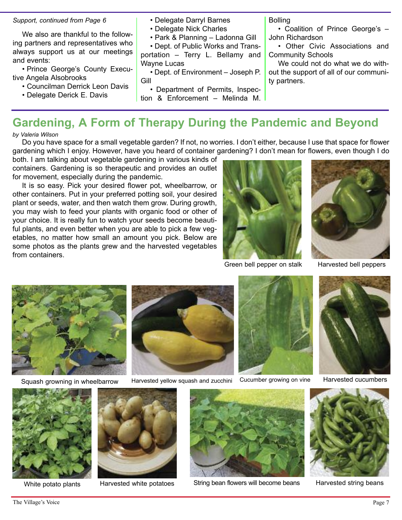#### *Support, continued from Page 6*

We also are thankful to the following partners and representatives who always support us at our meetings and events:

• Prince George's County Executive Angela Alsobrooks

- Councilman Derrick Leon Davis
- Delegate Derick E. Davis

#### • Delegate Darryl Barnes

- Delegate Nick Charles
- Park & Planning Ladonna Gill

• Dept. of Public Works and Transportation – Terry L. Bellamy and Wayne Lucas

• Dept. of Environment – Joseph P. Gill

• Department of Permits, Inspection & Enforcement – Melinda M. Bolling

• Coalition of Prince George's – John Richardson

• Other Civic Associations and Community Schools

We could not do what we do without the support of all of our community partners.

# **Gardening, A Form of Therapy During the Pandemic and Beyond**

*by Valeria Wilson*

Do you have space for a small vegetable garden? If not, no worries. I don't either, because I use that space for flower gardening which I enjoy. However, have you heard of container gardening? I don't mean for flowers, even though I do

both. I am talking about vegetable gardening in various kinds of containers. Gardening is so therapeutic and provides an outlet for movement, especially during the pandemic.

It is so easy. Pick your desired flower pot, wheelbarrow, or other containers. Put in your preferred potting soil, your desired plant or seeds, water, and then watch them grow. During growth, you may wish to feed your plants with organic food or other of your choice. It is really fun to watch your seeds become beautiful plants, and even better when you are able to pick a few vegetables, no matter how small an amount you pick. Below are some photos as the plants grew and the harvested vegetables from containers.



Green bell pepper on stalk Harvested bell peppers





Squash growning in wheelbarrow Harvested yellow squash and zucchini Cucumber growing on vine Harvested cucumbers











White potato plants Harvested white potatoes



String bean flowers will become beans Harvested string beans